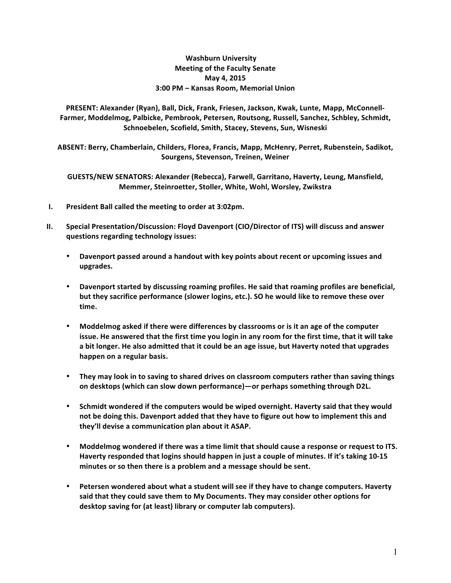## **Washburn University Meeting of the Faculty Senate May 4, 2015 3:00 PM – Kansas Room, Memorial Union**

PRESENT: Alexander (Ryan), Ball, Dick, Frank, Friesen, Jackson, Kwak, Lunte, Mapp, McConnell-Farmer, Moddelmog, Palbicke, Pembrook, Petersen, Routsong, Russell, Sanchez, Schbley, Schmidt, Schnoebelen, Scofield, Smith, Stacey, Stevens, Sun, Wisneski

ABSENT: Berry, Chamberlain, Childers, Florea, Francis, Mapp, McHenry, Perret, Rubenstein, Sadikot, **Sourgens, Stevenson, Treinen, Weiner**

GUESTS/NEW SENATORS: Alexander (Rebecca), Farwell, Garritano, Haverty, Leung, Mansfield, **Memmer, Steinroetter, Stoller, White, Wohl, Worsley, Zwikstra** 

- **I.** President Ball called the meeting to order at 3:02pm.
- **II.** Special Presentation/Discussion: Floyd Davenport (CIO/Director of ITS) will discuss and answer **questions regarding technology issues:**
	- Davenport passed around a handout with key points about recent or upcoming issues and **upgrades.**
	- Davenport started by discussing roaming profiles. He said that roaming profiles are beneficial, but they sacrifice performance (slower logins, etc.). SO he would like to remove these over **time.**
	- Moddelmog asked if there were differences by classrooms or is it an age of the computer issue. He answered that the first time you login in any room for the first time, that it will take a bit longer. He also admitted that it could be an age issue, but Haverty noted that upgrades happen on a regular basis.
	- They may look in to saving to shared drives on classroom computers rather than saving things on desktops (which can slow down performance)—or perhaps something through D2L.
	- Schmidt wondered if the computers would be wiped overnight. Haverty said that they would not be doing this. Davenport added that they have to figure out how to implement this and they'll devise a communication plan about it ASAP.
	- **Moddelmog wondered if there was a time limit that should cause a response or request to ITS.** Haverty responded that logins should happen in just a couple of minutes. If it's taking 10-15 minutes or so then there is a problem and a message should be sent.
	- Petersen wondered about what a student will see if they have to change computers. Haverty said that they could save them to My Documents. They may consider other options for desktop saving for (at least) library or computer lab computers).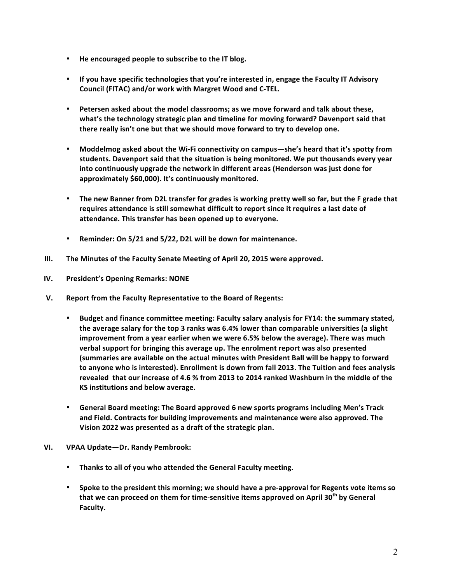- He encouraged people to subscribe to the IT blog.
- If you have specific technologies that you're interested in, engage the Faculty IT Advisory **Council (FITAC) and/or work with Margret Wood and C-TEL.**
- Petersen asked about the model classrooms; as we move forward and talk about these, what's the technology strategic plan and timeline for moving forward? Davenport said that there really isn't one but that we should move forward to try to develop one.
- Moddelmog asked about the Wi-Fi connectivity on campus—she's heard that it's spotty from students. Davenport said that the situation is being monitored. We put thousands every year **into continuously upgrade the network in different areas (Henderson was just done for** approximately \$60,000). It's continuously monitored.
- The new Banner from D2L transfer for grades is working pretty well so far, but the F grade that requires attendance is still somewhat difficult to report since it requires a last date of **attendance. This transfer has been opened up to everyone.**
- Reminder: On 5/21 and 5/22, D2L will be down for maintenance.
- **III.** The Minutes of the Faculty Senate Meeting of April 20, 2015 were approved.
- **IV. President's Opening Remarks: NONE**
- **V.** Report from the Faculty Representative to the Board of Regents:
	- Budget and finance committee meeting: Faculty salary analysis for FY14: the summary stated, the average salary for the top 3 ranks was 6.4% lower than comparable universities (a slight **improvement from a year earlier when we were 6.5% below the average). There was much** verbal support for bringing this average up. The enrolment report was also presented (summaries are available on the actual minutes with President Ball will be happy to forward to anyone who is interested). Enrollment is down from fall 2013. The Tuition and fees analysis revealed that our increase of 4.6 % from 2013 to 2014 ranked Washburn in the middle of the **KS** institutions and below average.
	- General Board meeting: The Board approved 6 new sports programs including Men's Track and Field. Contracts for building improvements and maintenance were also approved. The **Vision 2022 was presented as a draft of the strategic plan.**
- **VI. VPAA Update—Dr. Randy Pembrook:**
	- **•** Thanks to all of you who attended the General Faculty meeting.
	- Spoke to the president this morning; we should have a pre-approval for Regents vote items so that we can proceed on them for time-sensitive items approved on April 30<sup>th</sup> by General **Faculty.**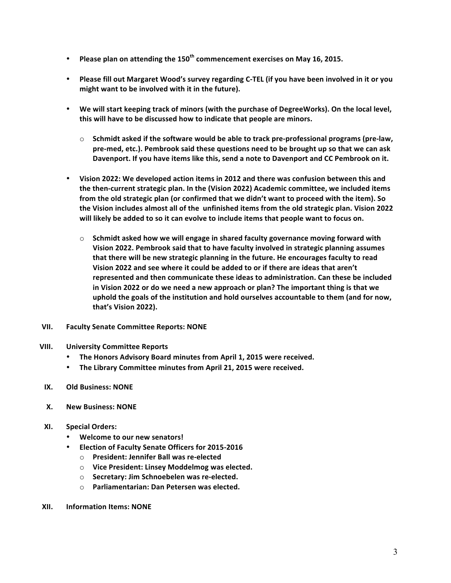- Please plan on attending the 150<sup>th</sup> commencement exercises on May 16, 2015.
- Please fill out Margaret Wood's survey regarding C-TEL (if you have been involved in it or you might want to be involved with it in the future).
- We will start keeping track of minors (with the purchase of DegreeWorks). On the local level, this will have to be discussed how to indicate that people are minors.
	- $\circ$  Schmidt asked if the software would be able to track pre-professional programs (pre-law, pre-med, etc.). Pembrook said these questions need to be brought up so that we can ask Davenport. If you have items like this, send a note to Davenport and CC Pembrook on it.
- Vision 2022: We developed action items in 2012 and there was confusion between this and the then-current strategic plan. In the (Vision 2022) Academic committee, we included items from the old strategic plan (or confirmed that we didn't want to proceed with the item). So the Vision includes almost all of the unfinished items from the old strategic plan. Vision 2022 will likely be added to so it can evolve to include items that people want to focus on.
	- $\circ$  Schmidt asked how we will engage in shared faculty governance moving forward with **Vision 2022. Pembrook said that to have faculty involved in strategic planning assumes** that there will be new strategic planning in the future. He encourages faculty to read Vision 2022 and see where it could be added to or if there are ideas that aren't **represented and then communicate these ideas to administration. Can these be included** in Vision 2022 or do we need a new approach or plan? The important thing is that we uphold the goals of the institution and hold ourselves accountable to them (and for now, **that's Vision 2022).**
- **VII.** Faculty Senate Committee Reports: NONE
- **VIII. University Committee Reports**
	- The Honors Advisory Board minutes from April 1, 2015 were received.
	- **The Library Committee minutes from April 21, 2015 were received.**
- **IX. Old Business: NONE**
- **X. New Business: NONE**
- **XI. Special Orders:**
	- **Welcome to our new senators!**
	- **Election of Faculty Senate Officers for 2015-2016** 
		- o **President: Jennifer Ball was re-elected**
		- o **Vice President: Linsey Moddelmog was elected.**
		- $\circ$  **Secretary: Jim Schnoebelen was re-elected.**
		- o **Parliamentarian: Dan Petersen was elected.**
- **XII. Information Items: NONE**